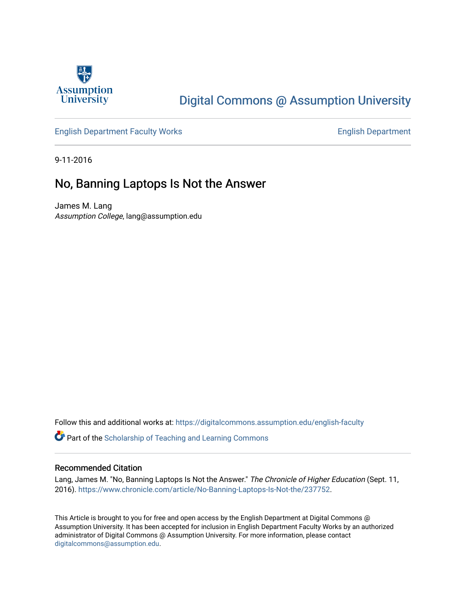

## [Digital Commons @ Assumption University](https://digitalcommons.assumption.edu/)

### [English Department Faculty Works](https://digitalcommons.assumption.edu/english-faculty) **English Department**

9-11-2016

## No, Banning Laptops Is Not the Answer

James M. Lang Assumption College, lang@assumption.edu

Follow this and additional works at: [https://digitalcommons.assumption.edu/english-faculty](https://digitalcommons.assumption.edu/english-faculty?utm_source=digitalcommons.assumption.edu%2Fenglish-faculty%2F3&utm_medium=PDF&utm_campaign=PDFCoverPages) 

Part of the [Scholarship of Teaching and Learning Commons](http://network.bepress.com/hgg/discipline/1328?utm_source=digitalcommons.assumption.edu%2Fenglish-faculty%2F3&utm_medium=PDF&utm_campaign=PDFCoverPages) 

#### Recommended Citation

Lang, James M. "No, Banning Laptops Is Not the Answer." The Chronicle of Higher Education (Sept. 11, 2016). [https://www.chronicle.com/article/No-Banning-Laptops-Is-Not-the/237752.](https://www.chronicle.com/article/No-Banning-Laptops-Is-Not-the/237752)

This Article is brought to you for free and open access by the English Department at Digital Commons @ Assumption University. It has been accepted for inclusion in English Department Faculty Works by an authorized administrator of Digital Commons @ Assumption University. For more information, please contact [digitalcommons@assumption.edu](mailto:digitalcommons@assumption.edu).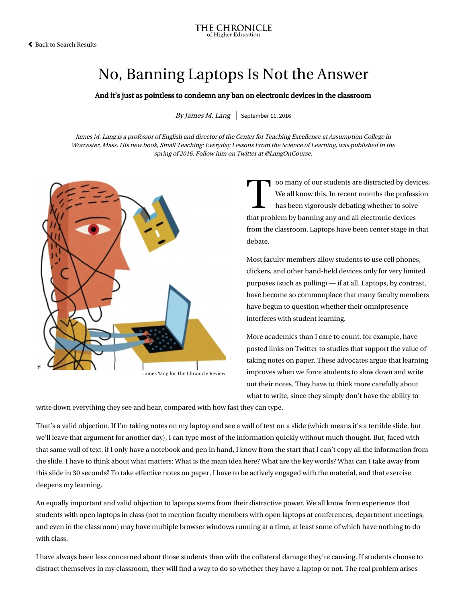# No, Banning Laptops Is Not the Answer

#### And it's just as pointless to condemn any ban on electronic devices in the classroom

By James M. Lang | September 11, 2016

James M. Lang is a professor of English and director of the Center for Teaching Excellence at Assumption College in Worcester, Mass. His new book, [Small Teaching: Everyday Lessons From the Science of Learning](https://www.amazon.com/Small-Teaching-Everyday-Lessons-Learning/dp/1118944496), was published in the spring of 2016. Follow him on Twitter at @LangOnCourse.



James Yang for The Chronicle Review

We all oo many of our students are distracted by devices. We all know this. In recent months the profession has been vigorously debating whether to solve that problem by banning any and all electronic devices from the classroom. Laptops have been center stage in that debate.

Most faculty members allow students to use cell phones, clickers, and other hand-held devices only for very limited purposes (such as polling) — if at all. Laptops, by contrast, have become so commonplace that many faculty members have begun to question whether their omnipresence interferes with student learning.

More academics than I care to count, for example, have posted links on Twitter [to studies](http://pss.sagepub.com/content/early/2014/04/22/0956797614524581.abstract) that support the value of taking notes on paper. These advocates argue that learning improves when we force students to slow down and write out their notes. They have to think more carefully about what to write, since they simply don't have the ability to

write down everything they see and hear, compared with how fast they can type.

That's a valid objection. If I'm taking notes on my laptop and see a wall of text on a slide (which means it's a terrible slide, but we'll leave that argument for another day), I can type most of the information quickly without much thought. But, faced with that same wall of text, if I only have a notebook and pen in hand, I know from the start that I can't copy all the information from the slide. I have to think about what matters: What is the main idea here? What are the key words? What can I take away from this slide in 30 seconds? To take effective notes on paper, I have to be actively engaged with the material, and that exercise deepens my learning.

An equally important and valid objection to laptops stems from their distractive power. We all know from experience that students with open laptops in class (not to mention faculty members with open laptops at conferences, department meetings, and even in the classroom) may have multiple browser windows running at a time, at least some of which have nothing to do with class.

I have always been less concerned about those students than with the collateral damage they're causing. If students choose to distract themselves in my classroom, they will find a way to do so whether they have a laptop or not. The real problem arises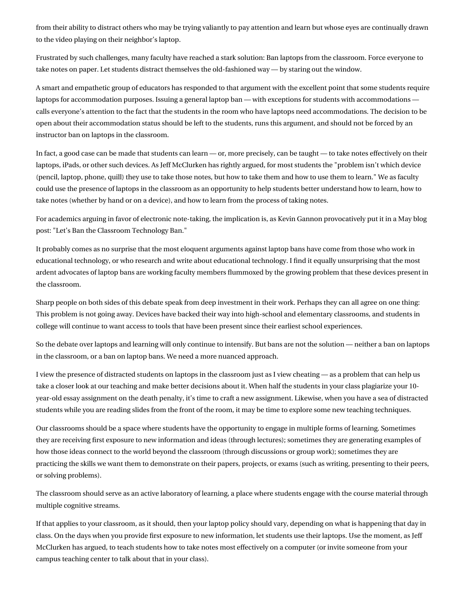from their ability to distract others who may be trying valiantly to pay attention and learn but whose eyes are continually drawn to the video playing on their neighbor's laptop.

Frustrated by such challenges, many faculty have reached a stark solution: Ban laptops from the classroom. Force everyone to take notes on paper. Let students distract themselves the old-fashioned way — by staring out the window.

A smart and empathetic [group of educators](http://www.digitalpedagogylab.com/hybridped/making-disability-part-of-the-conversation/) has responded to that argument with the excellent point that some students require laptops for accommodation purposes. Issuing a general laptop ban — with exceptions for students with accommodations calls everyone's attention to the fact that the students in the room who have laptops need accommodations. The decision to be open about their accommodation status should be left to the students, runs this argument, and should not be forced by an instructor ban on laptops in the classroom.

In fact, a good case can be made that students can learn — or, more precisely, can be taught — to take notes effectively on their laptops, iPads, or other such devices. As Jeff McClurken [has rightly argued](http://techist.mcclurken.org/learning/on-not-banning-laptops-in-the-classroom/), for most students the "problem isn't which device (pencil, laptop, phone, quill) they use to take those notes, but how to take them and how to use them to learn." We as faculty could use the presence of laptops in the classroom as an opportunity to help students better understand how to learn, how to take notes (whether by hand or on a device), and how to learn from the process of taking notes.

[For academics arguing in favor of electronic note-taking, the implication is, as Kevin Gannon provocatively put it in a May blog](http://www.thetattooedprof.com/archives/609) post: "Let's Ban the Classroom Technology Ban."

It probably comes as no surprise that the most eloquent arguments against laptop bans have come from those who work in educational technology, or who research and write about educational technology. I find it equally unsurprising that the most ardent advocates of laptop bans are working faculty members flummoxed by the growing problem that these devices present in the classroom.

Sharp people on both sides of this debate speak from deep investment in their work. Perhaps they can all agree on one thing: This problem is not going away. Devices have backed their way into high-school and elementary classrooms, and students in college will continue to want access to tools that have been present since their earliest school experiences.

So the debate over laptops and learning will only continue to intensify. But bans are not the solution — neither a ban on laptops in the classroom, or a ban on laptop bans. We need a more nuanced approach.

I view the presence of distracted students on laptops in the classroom [just as I view cheating](http://www.hup.harvard.edu/catalog.php?isbn=9780674724631) — as a problem that can help us take a closer look at our teaching and make better decisions about it. When half the students in your class plagiarize your 10 year-old essay assignment on the death penalty, it's time to craft a new assignment. Likewise, when you have a sea of distracted students while you are reading slides from the front of the room, it may be time to explore some new teaching techniques.

Our classrooms should be a space where students have the opportunity to engage in multiple forms of learning. Sometimes they are receiving first exposure to new information and ideas (through lectures); sometimes they are generating examples of [how those ideas connect](http://www.chronicle.com/article/Small-Changes-in-Teaching-/235230) to the world beyond the classroom (through discussions or group work); sometimes they are practicing the skills we want them to demonstrate on their papers, projects, or exams (such as writing, presenting to their peers, or solving problems).

The classroom should serve as an active laboratory of learning, a place where students engage with the course material through multiple cognitive streams.

If that applies to your classroom, as it should, then your laptop policy should vary, depending on what is happening that day in class. On the days when you provide first exposure to new information, let students use their laptops. Use the moment, as Jeff McClurken [has argued](http://techist.mcclurken.org/learning/on-not-banning-laptops-in-the-classroom/), to teach students how to take notes most effectively on a computer (or invite someone from your campus teaching center to talk about that in your class).